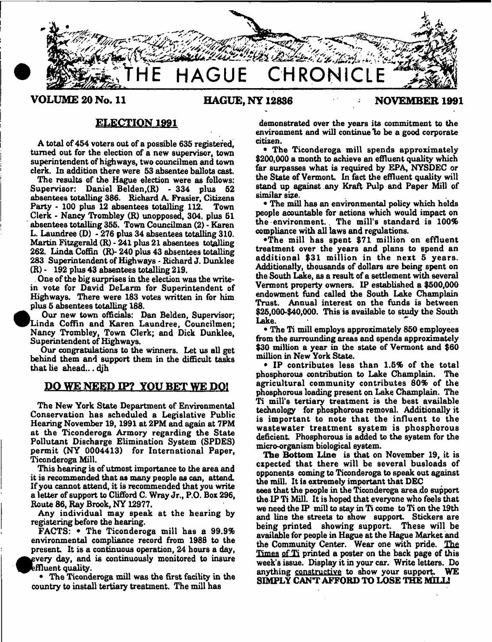

VOLUME 20 No. 11 **HAGUE, NY 12836** NOVEMBER 1991

## **ELECTION 1991**

A total of 454 voters out of a possible 635 registered. turned out for the election of a new supervisor, town superintendent of highways, two councilman and town clerk. In addition there were 53 absentee ballots cast.

The results of the Hague election were as follows; Supervisor: Daniel Belden,(R) - 334 plus 52 absentees totalling 386. Richard A. Frasier, Citizens Party - 100 plus  $12$  absentees totalling  $112$ . Clerk - Nancy Trombley (R) unopposed, 304. plus 61 absentees totalling 355. Town Councilman (2) - Karen L. Laundree (D) - 276 plus 34 absentees totalling 310. Martin Fitzgerald (R) - 241 plus 21 absentees totalling 262. Linda Coffin (R)-240 plus 43 absentees totalling 283 Superintendent of Highways- Richard J. Dunklee (R) \* 192 plus 43 absentees totalling 219.

. One of the big surprises in the election was the writein vote for David DeLarm for Superintendent of Highways. There were 183 votes written in for him plus 5 absentees totalling 188.

 Our new town officials: Dan Belden, Supervisor; Linda Coffin and Karen Laundree, Councilmen; Nancy Trombley, Town Clerk; and Dick Dunklee, Superintendent of Highways.

<sup>•</sup> Our congratulations to the winners. Let us all get behind them and support them in the difficult tasks that lie ahead... djh

## DO WE NEED IP? YOU BET WE DO!

The New York State Department of Environmental Conservation has scheduled a Legislative Public Hearing November 19,1991 at 2PM and again at 7PM at the Ticonderoga Armory regarding the State Pollutant Discharge Elimination System (SPDES) perm it (NY 0004413) for International Paper, Ticonderoga Mill.

This hearing is of utmost importance to the area and it is recommended that as many people as can, attend. If you cannot attend, it is recommended that you write a letter of support to Clifford C. Wray Jr., P.O. Box 296, Route 86, Ray Brook, NY 12977.

Any individual may speak at the hearing by registering before the hearing.

FACTS:  $\bullet$  The Ticonderoga mill has a 99.9% environmental compliance record from 1988 to the present. It is a continuous operation, 24 hours a day, every day, and is continuously monitored to insure  ${\rm eff}$ luent quality.

• The Ticonderoga mill was the first facility in the country to install tertiary treatment. The mill has

demonstrated over the years its commitment to the environment and will continue to be a good corporate citizen.

• The Ticonderoga mill spends approximately \$200,000 a month to achieve an effluent quality which far surpasses what is required by EPA, NYSDEC or the State of Vermont. In fact the effluent quality will stand up against any Kraft Pulp and Paper Mill of similar size.

• The mill has an environmental policy which holds people acountable for actions which would impact on the environm ent.. The mill's standard is 100% compliance with all laws and regulations.

•The m ill has spent \$71 million on effluent treatment over the years and plans to spend an additional \$31 million in the next 5 years. Additionally, thousands of dollars are being spent on the South Lake, as a result of a settlement with several Vermont property owners. IP established a \$500,000 endowment fund called the South Lake Champlain Trust. Annual interest on the funds is between \$25,000-\$40,000. This is available to study the South Lake.

• The Ti mill employs approximately 850 employees from the surrounding areas and spends approximately \$30 million a year in the state of Vermont and \$60 million in New York State.

 $\bullet$  IP contributes less than 1.5% of the total phosphorous contribution to Lake Champlain. The agricultural community contributes 80% of the phosphorous loading present on Lake Champlain. The Ti mill's tertiary treatment is the best available technology for phosphorous removal. Additionally it is important to note that the influent to the wastewater treatment system is phosphorous deficient. Phosphorous is added to the system for the micro-organism biological system.

The Bottom Line is that on November 19, it is expected that there will be several busloads of opponents coming to Ticonderoga to speak out against the mill. It is extremely important that DEC

sees that the people in the Ticonderoga area do support the IP Ti Mill. It is hoped that everyone who feels that we need the IP mill to stay in Ti come to Ti on the 19th and line the streets to show support. Stickers are being printed showing support. These will be available for people in Hague at the Hague Market and the Community Center. Wear one with pride. The Times of Ti printed a poster on the back page of this week's issue. Display it in your car. Write letters. Do anything constructive to show your support. SIMPLY CANT AFFORD TO LOSE THE MILL!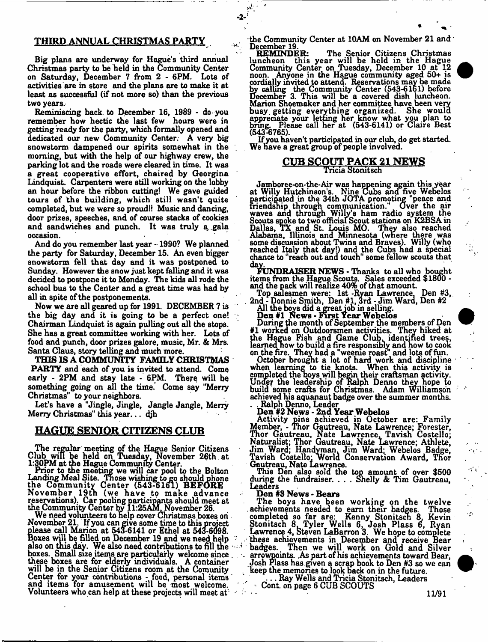## THIRD ANNUAL CHRISTMAS PARTY

Big plans are underway for Hague's third annual Christmas party to be held in the Community Center on Saturday, December 7 from 2 - 6PM. Lots of activities are in store and the plans are to make it at least as successful (if not more so) than the previous two years.

Reminiscing back, to December 16, 1989 - do you remember how hectic the last few hours were in getting ready for the party, which formally opened and dedicated our new Community Center. A very big snowstorm dampened our spirits somewhat in the morning, but with the help of our highway crew, the parking lot and the roads were cleared in time. It was a great cooperative effort, chaired by Georgina Lindquist. Carpenters were still working on the lobby an hour before the ribbon cutting! We gave guided tours of the building, which still wasn't quite completed, but we were so proud!! Music and dancing, door prizes, speeches, and of course stacks of cookies and sandwiches and punch. It was truly a, gala occasion.

And do you remember last year - 1990? We planned the party for Saturday, December 15. An even bigger snowstorm fell that day and it was postponed to Sunday. However the snow just kept falling and it was decided to postpone it to Monday. The kids all rode the school bus to the Center and a great time was had by all in spite of the postponements.

Now we are all geared up for 1991. DECEMBER 7 is the big day and it is going to be a perfect one! Chairman Lindquist is again pulling out all the stops. She has a great committee working with her. Lots of food and punch, door prizes galore, music, Mr. & Mrs. Santa Claus, story telling and much more.

THIS IS A COMMUNITY FAMILY CHRISTMAS **PARTY** and each of you is invited to attend. Come early - 2PM and stay late - 6PM. There will be something going on all the time. Come say "Merry Christmas" to your neighbors.

Let's have a "Jingle, Jingle, Jangle Jangle, Merry Merry Christmas" this year... djh

## HAGUE SENIOR CITIZENS CLUB

The regular meeting of the Hague Senior Citizens Club win be held on Tuesday, November 26th at 1:30PM at die Hague Community Center.

Prior to the meeting we will car pool to the Bolton Landing Meal Site. Those wishing to go should phone the Community Center (543-6161) BEFORE N ovem ber 19tn (we have to m ake advance reservations). Car pooling participants should meet at the Community Center by 11:25AM, November 26.

We need volunteers to nelp cover Christmas boxes oh November 21. If you can give some time to this project please call Marion at 543-6141 or Ethel at 543-6098. Boxes will be filled on December 19 and we need help also on this day. We also need contributions to fill the boxes. Small size items are particularly welcome since these boxes are for elderly individuals. A container will be in the Senior Citizens room at the Comunity Center for your contributions - food, personal items and items for amusement will be most welcome. Volunteers who can help at these projects will meet at

the Community Center at 10AM on November 21 and December 19

 $-2^{-\frac{3^{2^{k}}}{2^{k}}}$ 

REMINDER: The Senior Citizens Christmas luncheon this year will be held in the Hague Community Center on Tuesday, December 10 at 12 noon. Anyone in the Hague community aged 50+ is cordially invited to attend. Reservations may be made by calling the Community Center (543-6161) before December 3. This will be a covered dish luncheon. Marion Shoemaker and her committee have been very busy, getting everything organized. She would appreciate your letting her know what you plan to bring. Please call her at (543-6141) or Claire Best (543-6765).

If you haven't participated in our club, do get started. We have a great group of people involved.

#### CUB SCOUT PACK 21 NEWS Tncia Stonitsch

Jamboree-on-the-Air was happening again this year at Willy Hutchinson's. Nine Cubs and five Webelos participated in the 34th JOTA promoting "peace and friendship through communication." Over the air waves and through Willy's ham radio system the Scouts spoke to two official Scout stations on K2BSA in Dallas, TX and St. Louis MO. They also reached Alabama, Illinois and Minnesota (where there was some discussion about Twins and Braves). Willy (who reached Italy that day!) and the Cubs had a special chance to "reach out and touch" some fellow scouts that

day.<br>FUNDRAISER NEWS - Thanks to all who bought items from the Hague Scouts. Sales exceeded \$1800 and the pack will realize  $40\%$  of that amount.

Top salesmen were: 1st -Ryan Lawrence. Den #3, . 2nd - Donnie Smith, Den #1, 3rd - Jim Ward, Den #2

All the boys did agreatjob in selling.

Den #1 News - First Year Webelos During the month of September the members of Den #1 worked on Outdoorsmen activities. They hiked at the Hague Fish and Game Club, identified trees, learned now to build a fire responsibly and how to cook on the fire. They had a "weeme roast" and lots of fun.

October brought a lot of hard work and discipline when learning to tie knots. When this activity is completed the boys will begin their craftsman activity. Under the leadership of Ralph Denno they hope to build some crafts for Christmas. Adam Williamson achieved his aquanaut badge over the summer months.

. . Ralph Denno, Leader Ralph Denno, Leader<br>Den #2 News - 2nd Year Webelos

Activity pins achieved in October are: Family Member, - Thor Gautreau, Nate Lawrence; Forester, Thor Gautreau, Nate Lawrence, Tavish Costello; Naturalist; Thor Gautreau, Nate Lawrence; Athlete, Jim Ward; Handyman. Jim Ward; Webelos Badge, Tavish Costello: World Conservation Award, Thor Gautreau, Nate Lawrence.

This Den also sold the top amount of over \$500 during the fundraiser. . . . Shelly & Tim Gautreau, Leaders

Den #3 News - Bears

The boys have been working on the twelve achievements needed to earn their badges. Those completed so far are: Kenny Stonitsch 8, Kevin Stonitsch 8. Tyler Wells 6, Josh Plass 6, Rvan Lawrence 4, Steven LaBarron 3. We hope to complete . these achievements in December and receive Bear " badges. Then we will work on Gold and Silver . arrowpoints. .As part of his achievements toward Bear, Josh Plass has given a scrap book to Den #3 so we can . keep the memories to look back on in the future.

. . . Ray Wells and Tricia Stonitsch. Leaders ' ■ • Cont on page 6 CUB SCOUTS

 $\sim 1$ 

 $\mathcal{I}$  $\epsilon$  gy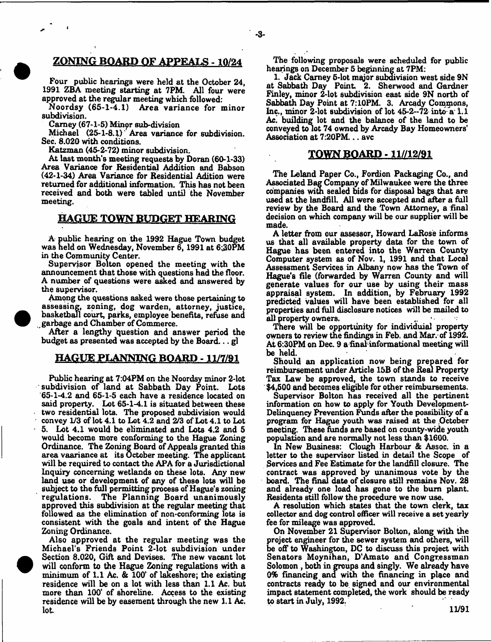## ZONING BOARD OF APPEALS -10/24

Four public hearings were held at the October 24, 1991 ZBA meeting starting at 7PM. All four were approved at the regular meeting which followed:

Noordsy (65-1-4.1) Area variance for minor subdivision.

Carney (67-1-5) Minpr sub-division

Michael (25-1-8.1)' Area variance for subdivision. Sec. 8.020 with conditions.

Katzman (45-2-72) minor subdivision.

At last month's meeting requests by Doran (60-1-33) Area Variance for Residential Addition and Babson (42-1-34) Area Variance for Residential Adition were returned for additional information. This has not been received and both were tabled until the November meeting.

## HAGUE TOWN BUDGET HEARING

A public hearing on the 1992 Hague Town budget was held on Wednesday, November  $\bar{6}$ , 1991 at  $6:30\bar{P}M$ in the Community Center.

Supervisor Bolton opened the meeting with the announcement that those with questions had the floor. A number of questions were asked and answered by the supervisor.

Among the questions asked were those pertaining to assessing, zoning, dog warden, attorney, justice, basketball court, parks, employee benefits, refuse and ^garbage and Chamber of Commerce.

After a lengthy question and answer period the budget as presented was accepted by the Board... gl

## HAGUE PLANNING BOARD - 11/7/91

Public hearing at 7:04PM on the Noordsy minor 2-lot subdivision of land at Sabbath Day Point. Lots 65-1-4.2 and 65-1-5 each have a residence located on said property. Lot 65-1-4.1 is situated between these two residential lots. The proposed subdivision would convey 1/3 of lot 4.1 to Lot 4.2 and 2/3 of Lot 4.1 to Lot 5. Lot 4.1 would be eliminated and Lots 4.2 and 5 would become more conforming to the Hague Zoning Ordinance. The Zoning Board of Appealsgranted this area vaariance at its October meeting. The applicant will be required to contact the APA for a Jurisdictional Inquiry concerning wetlands on these lots. Any new land use or development of any of these lots will be subject to the full permitting process of Hague's zoning regulations. The Planning Board unanimously approved this subdivision at the regular meeting that followed as the elimination of non-conforming lots is consistent with the goals and intent of the Hague Zoning Ordinance.

Also approved at the regular meeting was the Michael's Friends Point 2-lot subdivision under Section 8.020, Gift and Devises. The new vacant lot will conform to the Hague Zoning regulations with a minimum of 1.1 Ac. & 100\* of lakeshore; the existing residence will be on a lot with less than 1.1 Ac. but more than 100' of shoreline. Access to the existing residence will be by easement through the new 1.1 Ac. lot.

The following proposals were scheduled for public hearings on December 5 beginning at 7PM:

-3-

1. Jack Carney 5-lot major subdivision west side 9N at Sabbath Day Point 2. Sherwood and Gardner Finley, minor 2-lot subdivision east side 9N north of Sabbath Day Point at 7:10PM. 3. Arcady Commons, Inc., minor 2-lot subdivision of lot  $45-2-72$  into a 1.1 Ac. building lot and the balance of the land to be conveyed to lot 74 owned by Arcady Bay Homeowners' Association at 7:20PM... avc

### TOWN BOARD - 11//12/91

The Leland Paper Co., Fordion Packaging Co., and Associated Bag Company of Milwaukee were the three companies with sealed bids for disposal bags that are used at the landfill. All were accepted and after a full review by the Board and the Town Attorney, a final decision on which company will be our supplier will be made.

A letter from our assessor, Howard LaRose informs us that all available property data for the town of Hague has been entered into the Warren County Computer system as of Nov. 1, 1991 and that Local Assessment Services in Albany now has the Town of Hague's file (forwarded by Warren County and will generate values for our use by using their mass appraisal system. In addition, by February 1992 predicted values will have been established for all properties and full disclosure notices will be mailed to all property owners.

There will be opportunity for individuial property owners to review the findings in Feb. and Mar. of 1992. At 6:30PM on Dec. 9 a final informational meeting will be held.

Should an application now being prepared for reimbursement under Article 15B of the Real Property Tax Law be approved, the town stands to receive \$4,500 and becomes eligible for other reimbursements.

Supervisor Bolton has received all the pertinent information on how to apply for Youth Development-Delinquency Prevention Funds after the possibility of a program for Hague youth was raised at the October meeting. These funds are based on county-wide youth population and are normally not less than \$1600.

In New Business: Clough Harbour & Assoc, in a letter to the supervisor listed in detail the Scope of Services and Fee Estimate for the landfill closure. The contract was approved by unanimous vote by the board. The final date of closure still remains Nov. 28 and already one load has gone to the bum plant. Residents still follow the procedure we now use.

A resolution which states that the town clerk, tax collector and dog control officer will receive a set yearly fee for mileage was approved.

On November 21 Supervisor Bolton, along with the project engineer for the sewer system and others, will be off to Washington, DC to discuss this project with Senators Moynihan, D'Amato and Congressman Solomon , both in groups and singly. We already have 0% financing and with the financing in place and contracts ready to be Bigned and our environmental impact statement completed, the work should be ready to start in July, 1992.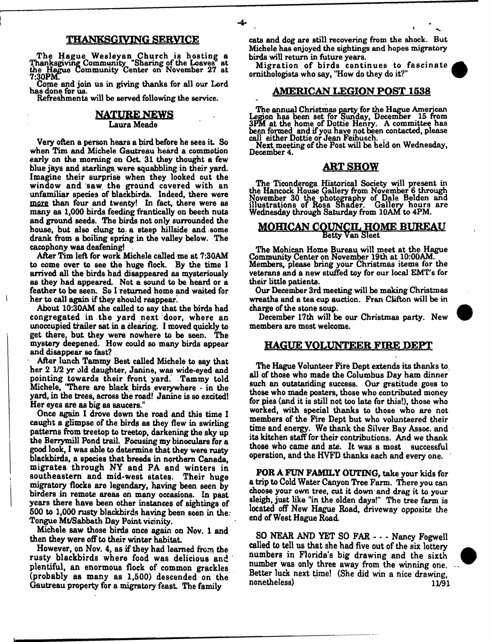## THANKSGIVING SERVICE

The Hague Wesleyan Church is hosting a Thanksgiving Community "Sharing of the Loaves at the Hague Community Center on November 27 at 7:30PM.

Come and join us in giving thanks for all our Lord has done for us.

Refreshments will be served following the service.

## **NATURE NEWS** Laura Meade

Very often a person hears a bird before he sees it. So when Tim and Michele Gautreau heard a commotion early on the morning on Oct 31 they thought a few blue jays and starlings, were squabbling in their yard. Imagine their surprise when they looked out the window and saw the ground covered with an unfamiliar Bpedes of blackbirds. Indeed, there were more than four and twenty! In fact, there were as many as 1,000 birds feeding frantically on beech nuts and ground seeds. The birds not only surrounded the house, but also clung to. a steep hillside and some drank from a boiling spring in the valley below. The cacophony was deafening!

After Tim left for work Michele called me at 7:30AM to come over to see the huge flock. By the time I arrived all the birds had disappeared as mysteriously as they had appeared. Not a sound to be heard or a feather to be seen. So I returned home and waited for her to call again if they should reappear .

About 10:30AM she called to say that the birds had congregated in the yard next door, where an unoccupied trailer sat in a clearing. I moved quickly to get there, but they were nowhere to be seen. The mystery deepened. How could so many birds appear and disappear so fast?

After lunch Tammy Best called Michele to say that her 2 1/2 yr old daughter, Janine, was wide-eyed and pointing towards their front yard. Tammy told Michele, "There are black birds everywhere - in the yard, in the trees, across the road! Janine is so excited! Her eyes are as big as saucers."

Once again I drove down the road and this time I caught a glimpse of the birds as they flew in swirling patterns from treetop to treetop, darkening the sky up the Berrymill Pond trail. Focusing my binoculars for a good look, I was able to determine that they were rusty blackbirds, a species that breeds in northern Canada, migrates through NY and PA and winters in southeastern and mid-west states. Their huge migratory flocks are legendary, having been seen by birders in remote areas on many occasions. In past years there have been other instances of sightings of 500 to 1,000 rusty blackbirds having been seen in the. Tongue Mt/Sabbath Day Point vicinity.

Michele saw those birds once again on Nov. 1 and then they were off to their winter habitat

However, on Nov. 4, as if they had learned from the rusty blackbirds where food was delicious and plentiful, an enormous flock of common grackles (probably as many as 1,500) descended on the Gautreau property for a migratory feast The family

cats and dog are still recovering from the shock. But Michele has enjoyed the sightings and hopes migratory birds will return in future years.

Migration of birds continues to fascinate ornithologists who say, "How do they do it?"

## AMERICAN LEGION POST 1538

The annual Christmas party for the Hague American Legion has been set for Sunday, December 15 from 3PM at die home of Dottie Henry. A committee has been formed and if you have not been contacted, please call either Dottie or Jean Feibusch.

Next meeting of the Post will be held on Wednesday, December 4.

## ART SHOW

The Ticonderoga Historical Society will present in the Hancock House Gallery from November 6 through November 30 the photography of Dale Belden and illustrations of Rosa Shader. Gallery hours are Wednesday through Saturday from 10AM to 4PM.

# **MOHICAN COUNCIL HOME BUREAU**

The Mohican Home Bureau will meet at the Hague Community Center on November 19th at 10:00AM. Members, please bring your Christmas items for the veterans and a new stuffed toy for our local EMT's for their little patients.

Our December 3rd meeting will be making Christmas wreaths and a tea cup auction. Fran Clifton will be in charge of the stone soup.

December 17th will be our Christmas party. New members are most welcome.

## HAGUE VOLUNTEER FIRE DEPT

The Hague Volunteer Fire Dept extends its thanks to all of those who made the Columbus Day ham dinner such an outstanding success. Our gratitude goes to those who made posters, those who contributed money for pies (and it is still not too late for this!), those who worked, with special thanks to those who are not members of the Fire Dept but who volunteered their time and energy. We thank the Silver Bay Assoc, and its kitchen staff for their contributions. And we thank those who came and ate. It was a most successful operation, and the HVFD thanks each and every one.

FOR A FUN FAMILY OUTING, take your kids for a trip to Cold Water Canyon Tree Farm. There you can choose your own tree, cut it down and drag it to your sleigh, just like "in the olden days!" The tree farm is located off New Hague Road, driveway opposite the end of West Hague Road.

SO NEAR AND YET SO FAR - - - Nancy Fogwell called to tell us that she had five out of the six lottery numbers in Florida's big drawing and the sixth number was only three away from the winning one. Better luck next time! (She did win a nice drawing,  $none$ theless)  $11/91$ 

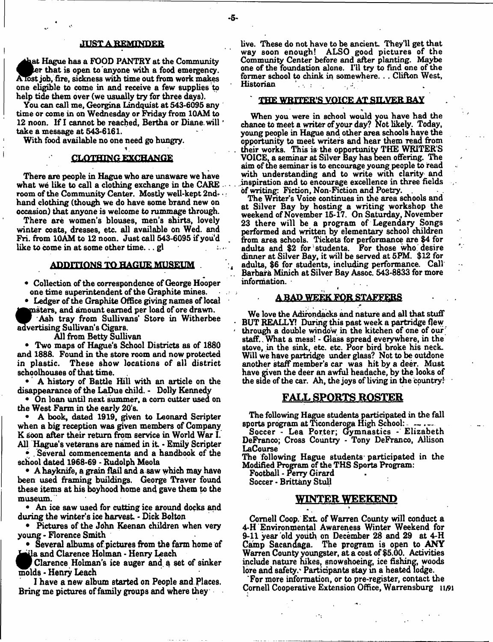#### **JUST A REMINDER**

h at Hague has a FOOD PANTRY at the Community er that is open to anyone with a food emergency. ATbst job, fire, sickness with time out from work makes one eligible to come in and receive a few supplies to help tide them over (we usually try for three days).

You can call me, Georgina Lindquist at 543-6095 any time or come in on Wednesday or Friday from 10AM to 12 noon. If I cannot be reached, Bertha or Diane, will take a message at 543-6161.

With food available no one need go hungry.

#### 1 CLOTHING EXCHANGE

There are people in Hague who are unaware we have what we like to call a clothing exchange in the CARE room of the Community Center. Mostly well-kept 2nd- •: hand clothing (though we do have some brand new on occasion) that anyone is welcome to rummage through.

There are women's blouses, men's shirts, lovely winter coats, dresses, etc. all available on Wed. and Fri. from 10AM to 12 noon. Just call 543-6095 if you'd like to come in at some other time...  $gl$ 

#### ADDITIONS TO HAGUE MUSEUM

• Collection of the correspondence of George Hooper one time superintendent of the Graphite mines.

• Ledger of the Graphite Office giving names of local nsters, and amount earned per load of ore drawn.

Ash tray from Sullivans' Store in Witherbee advertising Sullivan's Cigars.

All from Betty Sullivan

• Two maps of Hague's School Districts as of 1880 and 1888. Found in the store room and now protected in plastic. These show locations of all district schoolhouses of that time.

• A history of Battle Hill with an article on the disappearance of the LaDue child. - Dolly Kennedy

• On loan until next summer, a com cutter used on the West Farm in the early 20's.

• A book, dated 1919, given to Leonard Scripter when a big reception was given members of Company K soon after their return from service in World War I. All Hague's veterans are named in it • Emily Scripter

• . Several commencements and a handbook of the school dated 1968-69 - Rudolph Meola

• A hayknife, a grain flail and a saw which may have been used framing buildings. George Traver found these items at his boyhood home and gave them to the museum.

• An ice saw used for cutting ice around docks and during the winter's ice harvest - Dick Bolton

• Pictures of the John Keenan children when very young - Florence Smith

• Several albums of pictures from the farm home of ila and Clarence Holman - Henry Leach

Clarence Holman's ice auger and q set of sinker molds - Henry Leach

I have a new album started on People and Places. Bring me pictures of family groups and where they

live. These do not have to be ancient They'll get that way soon enough! ALSO good pictures of the Community Center before and after planting. Maybe one of the foundation alone. I'll try to find one of the former school to chink in somewhere.. . Clifton West, Historian

## THE WRITER'S VOICE AT SILVER BAY

When you were in school would you have had the chance to meet a writer of your day? Not likely. Today, young people in Hague and other area schools have the opportunity to meet writers and hear them read from their works. This is the opportunity THE WRITER'S VOICE, a seminar at Silver Bay has been offering. The aim of the seminar is to encourage young people to read with understanding and to write with clarity and inspiration and to encourage excellence in three fields of writing: Fiction, Non-Fiction and Poetry.

The Writer's Voice continues in the area schools and at Silver Bay by hosting a writing workshop the weekend of November 15-17. On Saturday, November 23 there will be a program of Legendary Songs performed and written by elementary school children from area schools. Tickets for performance are \$4 for adults and \$2 for students. For those who desire dinner at Silver Bay, it will be served at 5PM. \$12 for adults, \$6 for students, including performance. Call Barbara Minich at Silver Bay Assoc. 543-8833 for more information.  $\cdot$ 

#### *i* A BAP WEEK FOR STAFFERS

We love the Adirondacks and nature and all that stuff BUT REALLY! During this past week a partridge flew through a double window in the kitchen of one of our staff.. What a mess! - Glass spread everywhere, in the stove, in the sink, etc. etc. Poor bird broke his neck. Will we have partridge under glass? Not to be outdone another staff member's car was hit by a deer. Must have given the deer an awful headache, by the looks of the side of the car. Ah, the joys of living in the country!

## FALL SPORTS ROSTER

The following Hague students participated in the fall sports program at Ticonderoga High School:

Soccer - Lea Porter; Gymnastics - Elizabeth DeFranco; Cross Country - Tony DeFranco, Allison LaCourse

The following Hague students participated in the Modified Program of the THS Sports Program:

Football - Parry Girard

Soccer • Brittany Stull

#### WINTER WEEKEND *\**

Cornell Coop. Ext. of Warren County will conduct a 4-H Environmental Awareness Winter Weekend for 9-11 year old youth on December 28 and 29 at 4-H Camp Sacandaga. The program is open to ANY Warren County youngster, at a cost of \$5.00. Activities include nature hikes, snowshoeing, ice fishing, woods lore and safety. Participants stay in a heated lodge.

For more information, or to pre-register, contact the Cornell Cooperative Extension Office, Warrensburg 11/91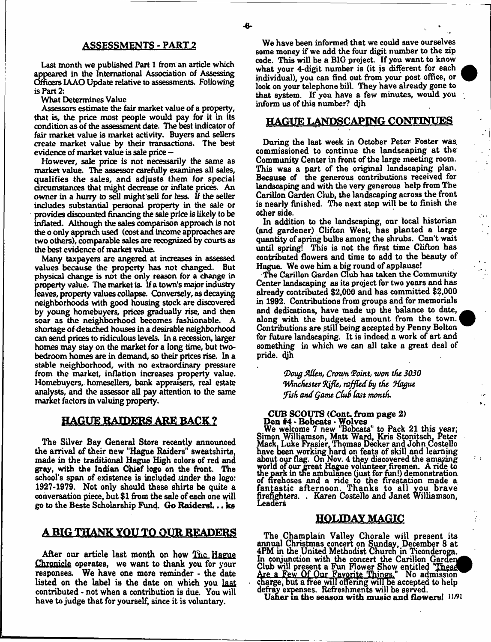Last month we published Part 1 from an article which appeared in the International Association of Assessing Officers 1AAO Update relative to assessments. Following is Part 2:

What Determines Value

Assessors estimate the fair market value of a property, that is, the price most people would pay for it in its condition as of the assessment date. The best indicator of fair market value is market activity. Buyers and sellers create market value by their transactions. The best evidence of market value is sale price -

However, sale price is not necessarily the same as market value. The assessor carefully examines all sales, qualifies the sales, and adjusts them for special circumstances that might decrease or inflate prices. An owner in a hurry to sell might sell for less. *U* the seller includes substantial personal property in the sale or provides discounted financing the sale price is likely to be inflated. Although the sales comparison approach is not the o only apprach used (cost and income approaches are two others), comparable sales are recognized by courts as the best evidence of market value.

Many taxpayers are angered at increases in assessed values because the property has not changed. But physical change is not the only reason for a change in property value. The market is. If a town's major industry leaves, property values collapse. Conversely, as decaying neighborhoods with good housing stock are discovered by young homebuyers, prices gradually rise, and then soar as the neighborhood becomes fashionable. A shortage of detached houses in a desirable neighborhood can send prices to ridiculous levels. In a recession, larger homes may stay on the market for a long time, but twobedroom homes are in demand, so their prices rise. In a stable neighborhood, with no extraordinary pressure from the market, inflation increases property value. Homebuyers, homesellers, bank appraisers, real estate analysts, and the assessor all pay attention to the same market factors in valuing property.

## HAGUE RAIDERS ARE BACK ?

The Silver Bay General Store recently announced the arrival of their new "Hague Raiders" sweatshirts, made in the traditional Hague High colors of red and gray, with the Indian Chief logo on the front. The school's span of existence is included under the logo: 1927-1979. Not only should these shirts be quite a conversation piece, but \$1 from the sale of each one will go to the Beste Scholarship Fund. Go Raiders!... ks

## A BIG THANK YOU TO OUR READERS

After our article last month on how The Hague Chronicle operates, we want to thank you for your responses. We have one more reminder - the date listed on the label is the date on which you last contributed • not when a contribution is due. You will have to judge that for yourself, since it is voluntary.

We have been informed that we could save ourselves some money if we add the four digit number to the zip code. This will be a BIG project. If you want to know what your 4-digit number is (it is different for each individual), you can find out from your post office, or look on your telephone bill. They have already gone to that system. If you have a few minutes, would you inform us of this number? djh

## HAGUE LANDSCAPING CONTINUES

During the last week in October Peter Foster was commissioned to continue the landscaping at the Community Center in front of the large meeting room. This was a part of the original landscaping plan. Because of the generous contributions received for landscaping and with the very generous help from The Carillon Garden Club, the landscaping across the front is nearly finished. The next step will be to finish the other side.

In addition to the landscaping, our local historian (and gardener) Clifton West, has planted a large quantity of spring bulbs among the shrubs. Can't wait until spring! This is not the first time Clifton has contributed flowers and time to add to the beauty of Hague. We owe him a big round of applause!

The Carillon Garden Club has taken the Community Center landscaping as its project for two years and has already contributed \$2,000 and has committed \$2,000 in 1992. Contributions from groups and for memorials and dedications, have made up the balance to date, along with the budgeted amount from the town. Contributions are still being accepted by Penny Bolton for fixture landscaping. It is indeed a work of art and something in which we can all take a great deal of pride. dih

> *(Doug JAlUn, Crown (Point, toon the 3030 (WinchtsUT (Rjflt, raffled by the (Hague !Fish and Qame Ctuh Cast month.*

## CUB SCOUTS (Cont. from page 2) Den #4 - Bobcats - Wolves

We welcome 7 new "Bobcats" to Pack 21 this year; Simon Williamson, Matt Ward, Kris Stonitsch, Peter Mack. Luke Frasier. Thomas Decker and John Costello have been working hard on feats of skill and learning about our flag. On Nov. 4 they discovered the amazing world of our great Hague volunteer firemen. A ride to the park in the ambulance (just for fun!) demonstration of firehoses and a ride to the firestation made a fantastic afternoon. Thanks to all you brave firefighters. . Karen Costello and Janet Williamson, Leaders

## HOLIDAY MAGIC

The Champlain Valley Chorale will present its annual Christmas concert on Sunday, December 8 at 4PM in the United Methodist Church in Ticonderoga. In conjunction with the concert the Carillon Garden Club will present a Fun Flower Show entitled Are a Few Of Our Favorite Things." No admission charge, but a free will offering will he accepted to help defray expenses. Refreshments will be served.

Usher in the season with music and flowers!  $11/91$ 

٠.

 $\lambda$ .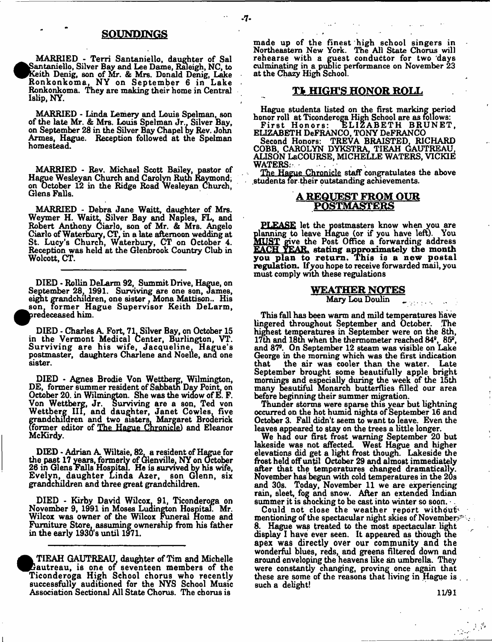## SOUNDINGS

 $-7-$ 

MARRIED - Terri Santaniello, daughter of Sal Santaniello, Silver Bay and Lee Dame, Raleigh, NC, to Keith Denig, son of Mr. & Mrs. Donald Denig, Lake Ronkonkoma, NY on September 6 in Lake Ronkonkoma. They are making their home in Central Islip, NY.

MARRIED - Linda Lemery and Louis Spelman, son of the late Mr. & Mrs. Louis Spelman Jr., Silver Bay, on September 28 in the Silver Bay Chapel by Rev. John Armes, Hague. Reception followed at the Spelman homestead.

MARRIED - Rev. Michael Scott Bailey, pastor of Hague Wesleyan Church and Carolyn Rutn Raymond; on October 12 in the Ridge Road Wesleyan Church. Glens Falls.

MARRIED - Debra Jane Waitt, daughter of Mrs. Weymer H. Waitt, Silver Bay and Naples, FL, and Robert Anthony Ciarlo, son of Mr. & Mrs. Angelo Ciarlo of Waterbury, CT, in a late afternoon wedding at St. Lucy's Church, Waterbury, CT on October 4. Reception was held at the Glenbrook Country Club in Wolcott, CT.

DIED - Rollin DeLarm 92, Summit Drive, Hague, on September 28, 1991. Surviving are one son, James, eight grandchildren, one sister*}* Mona Matdson.. His **•** son, former Hague Supervisor Keith DeLarm, predeceased him.

DIED - Charles A. Fort, 71, Silver Bay, on October 15 in the Vermont Medical Center, Burlington, VT. in the vermont medical Center, Burlington, VI.<br>Surviving are his wife Jacqueline Hague's Sui viving are his wile, bacquefine, fiague's postmaster, daughters Charlene and Noelle, and one sister.

DIED - Agnes Droute von Wettbeig, Willington,<br>E. former summer resident of Sebbath Day Point, on DE, former summer resident of Sabbath Day Point, on<br>October 20 in Wilmington She wee the widow of F. F. October 20. in Wilmington. She was the widow of E. F. von wettberg, or. Surviving are a son, Ted von Wettberg III, and daughter, Janet Cowles, five grandchildren, and two sisters, margaret Broderick<br>Gormer editor of The Hegue Chronicle) and Fleenor (former editor of The Hague Chronicle! and Eleanor McKirdy.

DIED • Adrian A. Willsie, 82, a resident of Hague for<br>a past 17 vaste formativ of Giapvilla NV on October the past 17 years, formerly of Glenville, NY on October<br>26 in Glens Falls Hosnital Ha is survived by his wife Evelyn, daughter Linda Azer, son Glenn, six Evelyn, daughter Linda Azer, son Glenn, six grandchildren and three great grandchildren.

DIED - Kirby David Wilcox, 91, Ticonderoga on<br>ovember 9 1991 in Moses Ludington Hospital Mr November 9, 1991 in Moses Ludington Hospital. Mr.<br>Wilcox was owner of the Wilcox Funeral Home and Wilcox was owner of the Wilcox Funeral Home and Furniture Store, assuming ownership from his father in the early 1930's until 1971.

TIEAH GAUTREAU, daughter of Tim and Michelle Gautreau, is one of seventeen members of the Ticonderoga High School chorus who recently successfully auditioned for the NYS School Music Association Sectional All State Chorus. The chorus is

made up of the finest high school singers in Northeastern New York. The All State Chorus will rehearse with a guest conductor for two 'days culminating in a public performance on November 23 at the Chazy High School.

## **TI HIGH'S HONOR ROLL**

Hague students listed on the first marking period honor roll at Ticonderoga High School are as follows: First Honors: ELIZABETH BRUNET,

ELIZABETH DeFRANCO, TONY DeFRANCO Second Honors: TREVA BRAISTED, RICHARD

COBB, CAROLYN DYKSTRA, TIEAH GAUTREAU, ALISON LaCOURSE, MICHELLE WATERS, VICKIE WATERS:-

The Hague Chronicle staff congratulates the above .students for their outstanding achievements.

## A REQUEST FROM OUR POSTMASTERS

PLEASE let the postmasters know when you are planning to leave Hague (or if you have left). You **MUST** give the Post Office a forwarding address EACH YEAR, stating approximately the month you plan to return. This is a new postal regulation. Ifyou hope to receive forwarded mail, you must comply with these regulations

## WEATHER NOTES

Mary Lou Doulin

This fall has been warm and mild temperatures have lingered throughout September and October. The highest temperatures in September were on the 8th, 17th and 18th when the thermometer reached  $84^{\circ}$ ,  $85^{\circ}$ , and 87s. On September 12 steam was visible on Lake George in the morning which was the first indication that the air was cooler than the water. Late the air was cooler than the water. Late September brought some beautifully apple bright mornings and especially during the week of the 15th many beautiful Monarch butterflies filled our area before beginning their summer migration.

Thunder storms were sparse this year but lightning occurred on the hot humid nights of September 16 ana October 3. Fall didn't seem to want to leave. Even the leaves appeared to stay on the trees a little longer.

We haa our first frost warning September 20 but lakeside was not affected. West Hague and higher elevations did get a light frost though. Lakeside the frost held off until October 29 and almost immediately after that the temperatures changed dramatically. November has begun with cold temperatures in the 20s and 30s. Today, November 11 we are experiencing rain, sleet, fog and snow. After an extended Indian summer it is shocking to be cast into winter so soon.

Could not close the weather report without mentioning of the spectacular night skies of Novembers' 8. Hague was treated to the most spectacular, light display I have ever seen. It appeared as though the apex was directly over our community and the wonderful blues, reds, and greens filtered down and around enveloping the heavens like an umbrella. They were constantly changing, proving once again that these are some of the reasons that living in Hague is . such a delight!

11/91

 $\mathcal{L}_{\text{max}}$